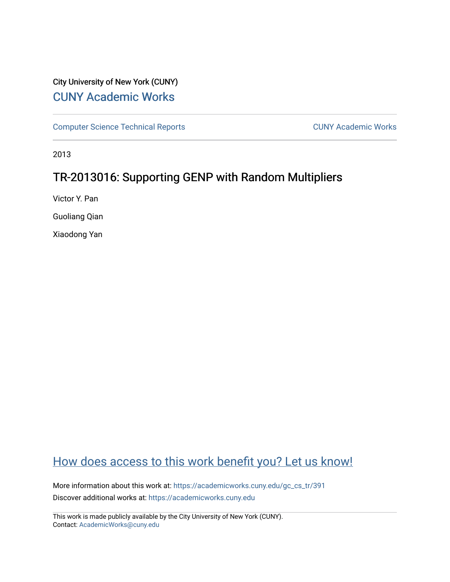## City University of New York (CUNY) [CUNY Academic Works](https://academicworks.cuny.edu/)

[Computer Science Technical Reports](https://academicworks.cuny.edu/gc_cs_tr) **CUNY Academic Works** CUNY Academic Works

2013

## TR-2013016: Supporting GENP with Random Multipliers

Victor Y. Pan

Guoliang Qian

Xiaodong Yan

# [How does access to this work benefit you? Let us know!](http://ols.cuny.edu/academicworks/?ref=https://academicworks.cuny.edu/gc_cs_tr/391)

More information about this work at: [https://academicworks.cuny.edu/gc\\_cs\\_tr/391](https://academicworks.cuny.edu/gc_cs_tr/391)  Discover additional works at: [https://academicworks.cuny.edu](https://academicworks.cuny.edu/?)

This work is made publicly available by the City University of New York (CUNY). Contact: [AcademicWorks@cuny.edu](mailto:AcademicWorks@cuny.edu)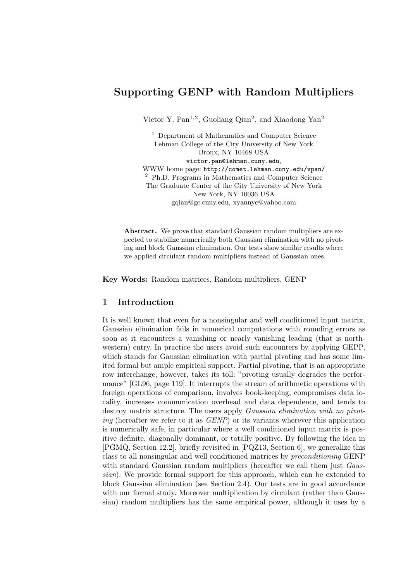## Supporting GENP with Random Multipliers

Victor Y. Pan<sup>1,2</sup>, Guoliang Qian<sup>2</sup>, and Xiaodong Yan<sup>2</sup>

<sup>1</sup> Department of Mathematics and Computer Science Lehman College of the City University of New York Bronx, NY 10468 USA victor.pan@lehman.cuny.edu, WWW home page: http://comet.lehman.cuny.edu/vpan/ <sup>2</sup> Ph.D. Programs in Mathematics and Computer Science The Graduate Center of the City University of New York New York, NY 10036 USA gqian@gc.cuny.edu, xyannyc@yahoo.com

Abstract. We prove that standard Gaussian random multipliers are expected to stabilize numerically both Gaussian elimination with no pivoting and block Gaussian elimination. Our tests show similar results where we applied circulant random multipliers instead of Gaussian ones.

Key Words: Random matrices, Random multipliers, GENP

### 1 Introduction

It is well known that even for a nonsingular and well conditioned input matrix, Gaussian elimination fails in numerical computations with rounding errors as soon as it encounters a vanishing or nearly vanishing leading (that is northwestern) entry. In practice the users avoid such encounters by applying GEPP, which stands for Gaussian elimination with partial pivoting and has some limited formal but ample empirical support. Partial pivoting, that is an appropriate row interchange, however, takes its toll: "pivoting usually degrades the performance" [GL96, page 119]. It interrupts the stream of arithmetic operations with foreign operations of comparison, involves book-keeping, compromises data locality, increases communication overhead and data dependence, and tends to destroy matrix structure. The users apply *Gaussian elimination with no pivot*ing (hereafter we refer to it as  $GENP$ ) or its variants wherever this application is numerically safe, in particular where a well conditioned input matrix is positive definite, diagonally dominant, or totally positive. By following the idea in [PGMQ, Section 12.2], briefly revisited in [PQZ13, Section 6], we generalize this class to all nonsingular and well conditioned matrices by preconditioning GENP with standard Gaussian random multipliers (hereafter we call them just Gaussian). We provide formal support for this approach, which can be extended to block Gaussian elimination (see Section 2.4). Our tests are in good accordance with our formal study. Moreover multiplication by circulant (rather than Gaussian) random multipliers has the same empirical power, although it uses by a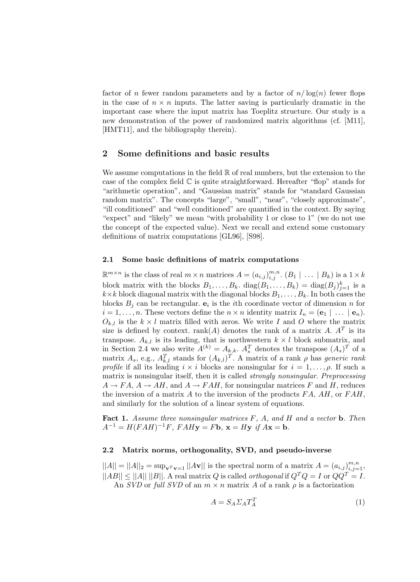factor of n fewer random parameters and by a factor of  $n/\log(n)$  fewer flops in the case of  $n \times n$  inputs. The latter saving is particularly dramatic in the important case where the input matrix has Toeplitz structure. Our study is a new demonstration of the power of randomized matrix algorithms (cf. [M11], [HMT11], and the bibliography therein).

#### 2 Some definitions and basic results

We assume computations in the field  $\mathbb R$  of real numbers, but the extension to the case of the complex field  $\mathbb C$  is quite straightforward. Hereafter "flop" stands for "arithmetic operation", and "Gaussian matrix" stands for "standard Gaussian random matrix". The concepts "large", "small", "near", "closely approximate", "ill conditioned" and "well conditioned" are quantified in the context. By saying "expect" and "likely" we mean "with probability 1 or close to 1" (we do not use the concept of the expected value). Next we recall and extend some customary definitions of matrix computations [GL96], [S98].

#### 2.1 Some basic definitions of matrix computations

 $\mathbb{R}^{m \times n}$  is the class of real  $m \times n$  matrices  $A = (a_{i,j})_{i,j}^{m,n}$ .  $(B_1 \mid \ldots \mid B_k)$  is a  $1 \times k$ block matrix with the blocks  $B_1, \ldots, B_k$ .  $diag(B_1, \ldots, B_k) = diag(B_j)_{j=1}^k$  is a  $k\times k$  block diagonal matrix with the diagonal blocks  $B_1, \ldots, B_k$ . In both cases the blocks  $B_j$  can be rectangular.  $e_i$  is the *i*th coordinate vector of dimension *n* for  $i = 1, \ldots, n$ . These vectors define the  $n \times n$  identity matrix  $I_n = (\mathbf{e}_1 \mid \ldots \mid \mathbf{e}_n)$ .  $O_{k,l}$  is the  $k \times l$  matrix filled with zeros. We write I and O where the matrix size is defined by context. rank(A) denotes the rank of a matrix A.  $A<sup>T</sup>$  is its transpose.  $A_{k,l}$  is its leading, that is northwestern  $k \times l$  block submatrix, and in Section 2.4 we also write  $A^{(k)} = A_{k,k}$ .  $A_s^T$  denotes the transpose  $(A_s)^T$  of a matrix  $A_s$ , e.g.,  $A_{k,l}^T$  stands for  $(A_{k,l})^T$ . A matrix of a rank  $\rho$  has *generic rank profile* if all its leading  $i \times i$  blocks are nonsingular for  $i = 1, \ldots, \rho$ . If such a matrix is nonsingular itself, then it is called strongly nonsingular. Preprocessing  $A \rightarrow FA$ ,  $A \rightarrow AH$ , and  $A \rightarrow FAH$ , for nonsingular matrices F and H, reduces the inversion of a matrix A to the inversion of the products  $FA$ ,  $AH$ , or  $FAH$ , and similarly for the solution of a linear system of equations.

**Fact 1.** Assume three nonsingular matrices  $F$ ,  $A$ , and  $H$  and a vector **b**. Then  $A^{-1} = H(FAH)^{-1}F$ ,  $FAHy = Fb$ ,  $\mathbf{x} = Hy$  if  $A\mathbf{x} = \mathbf{b}$ .

#### 2.2 Matrix norms, orthogonality, SVD, and pseudo-inverse

 $||A|| = ||A||_2 = \sup_{\mathbf{v}^T \mathbf{v} = 1} ||A\mathbf{v}||$  is the spectral norm of a matrix  $A = (a_{i,j})_{i,j=1}^{m,n}$ ,  $||AB|| \le ||A|| ||B||$ . A real matrix Q is called *orthogonal* if  $Q^TQ = I$  or  $QQ^T = I$ . An SVD or full SVD of an  $m \times n$  matrix A of a rank  $\rho$  is a factorization

$$
A = S_A \Sigma_A T_A^T \tag{1}
$$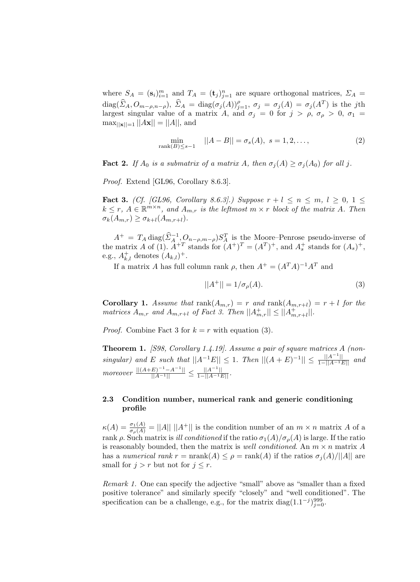where  $S_A = (\mathbf{s}_i)_{i=1}^m$  and  $T_A = (\mathbf{t}_j)_{j=1}^n$  are square orthogonal matrices,  $\Sigma_A =$  $diag(\widehat{\Sigma}_A, O_{m-\rho,n-\rho}), \widehat{\Sigma}_A = diag(\sigma_j(A))_{j=1}^{\rho}, \sigma_j = \sigma_j(A) = \sigma_j(A^T)$  is the jth largest singular value of a matrix A, and  $\sigma_j = 0$  for  $j > \rho$ ,  $\sigma_\rho > 0$ ,  $\sigma_1 =$  $\max_{||\mathbf{x}||=1} ||A\mathbf{x}|| = ||A||$ , and

$$
\min_{\text{rank}(B) \le s-1} ||A - B|| = \sigma_s(A), \ s = 1, 2, \dots,
$$
 (2)

**Fact 2.** If  $A_0$  is a submatrix of a matrix A, then  $\sigma_j(A) \geq \sigma_j(A_0)$  for all j.

Proof. Extend [GL96, Corollary 8.6.3].

**Fact 3.** (Cf. [GL96, Corollary 8.6.3].) Suppose  $r + l \leq n \leq m, l \geq 0, 1 \leq$  $k \leq r$ ,  $A \in \mathbb{R}^{m \times n}$ , and  $A_{m,r}$  is the leftmost  $m \times r$  block of the matrix A. Then  $\sigma_k(A_{m,r}) \geq \sigma_{k+l}(A_{m,r+l}).$ 

 $A^+ = T_A \operatorname{diag}(\hat{\Sigma}_A^{-1}, O_{n-\rho,m-\rho}) S_A^T$  is the Moore–Penrose pseudo-inverse of the matrix A of (1).  $A^{+T}$  stands for  $(A^{+})^{T} = (A^{T})^{+}$ , and  $A_{s}^{+}$  stands for  $(A_{s})^{+}$ , e.g.,  $A_{k,l}^+$  denotes  $(A_{k,l})^+$ .

If a matrix A has full column rank  $\rho$ , then  $A^+ = (A^T A)^{-1} A^T$  and

$$
||A^{+}|| = 1/\sigma_{\rho}(A). \tag{3}
$$

**Corollary 1.** Assume that  $rank(A_{m,r}) = r$  and  $rank(A_{m,r+l}) = r + l$  for the matrices  $A_{m,r}$  and  $A_{m,r+l}$  of Fact 3. Then  $||A_{m,r}^+|| \leq ||A_{m,r+l}^+||$ .

*Proof.* Combine Fact 3 for  $k = r$  with equation (3).

Theorem 1. [S98, Corollary 1.4.19]. Assume a pair of square matrices A (nonsingular) and E such that  $||A^{-1}E|| \leq 1$ . Then  $||(A + E)^{-1}|| \leq \frac{||A^{-1}||}{1-||A^{-1}E||}$  and moreover  $\frac{||(A+E)^{-1}-A^{-1}||}{||A^{-1}||} \leq \frac{||A^{-1}||}{1-||A^{-1}E||}.$ 

#### 2.3 Condition number, numerical rank and generic conditioning profile

 $\kappa(A) = \frac{\sigma_1(A)}{\sigma_0(A)} = ||A|| \, ||A^+||$  is the condition number of an  $m \times n$  matrix A of a rank ρ. Such matrix is *ill conditioned* if the ratio  $\sigma_1(A)/\sigma_o(A)$  is large. If the ratio is reasonably bounded, then the matrix is well conditioned. An  $m \times n$  matrix A has a numerical rank  $r = \text{nrank}(A) \leq \rho = \text{rank}(A)$  if the ratios  $\sigma_i(A)/||A||$  are small for  $j > r$  but not for  $j \leq r$ .

Remark 1. One can specify the adjective "small" above as "smaller than a fixed positive tolerance" and similarly specify "closely" and "well conditioned". The specification can be a challenge, e.g., for the matrix diag $(1.1^{-j})_{j=0}^{999}$ .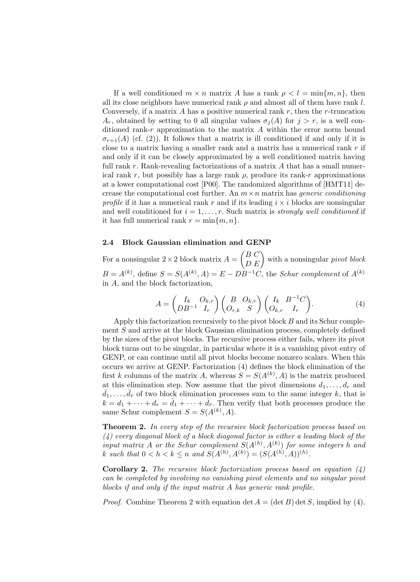If a well conditioned  $m \times n$  matrix A has a rank  $\rho < l = \min\{m, n\}$ , then all its close neighbors have numerical rank  $\rho$  and almost all of them have rank l. Conversely, if a matrix A has a positive numerical rank  $r$ , then the r-truncation  $A_r$ , obtained by setting to 0 all singular values  $\sigma_i(A)$  for  $j > r$ , is a well conditioned rank-r approximation to the matrix  $\vec{A}$  within the error norm bound  $\sigma_{r+1}(A)$  (cf. (2)). It follows that a matrix is ill conditioned if and only if it is close to a matrix having a smaller rank and a matrix has a numerical rank  $r$  if and only if it can be closely approximated by a well conditioned matrix having full rank  $r$ . Rank-revealing factorizations of a matrix  $A$  that has a small numerical rank r, but possibly has a large rank  $\rho$ , produce its rank-r approximations at a lower computational cost [P00]. The randomized algorithms of [HMT11] decrease the computational cost further. An  $m \times n$  matrix has *generic conditioning* profile if it has a numerical rank r and if its leading  $i \times i$  blocks are nonsingular and well conditioned for  $i = 1, \ldots, r$ . Such matrix is strongly well conditioned if it has full numerical rank  $r = \min\{m, n\}.$ 

#### 2.4 Block Gaussian elimination and GENP

For a nonsingular  $2 \times 2$  block matrix  $A = \begin{pmatrix} B & C \\ D & E \end{pmatrix}$  with a nonsingular pivot block  $B = A^{(k)}$ , define  $S = S(A^{(k)}, A) = E - DB^{-1}C$ , the *Schur complement* of  $A^{(k)}$ in A, and the block factorization,

$$
A = \begin{pmatrix} I_k & O_{k,r} \\ DB^{-1} & I_r \end{pmatrix} \begin{pmatrix} B & O_{k,r} \\ O_{r,k} & S \end{pmatrix} \begin{pmatrix} I_k & B^{-1}C \\ O_{k,r} & I_r \end{pmatrix}.
$$
 (4)

Apply this factorization recursively to the pivot block  $B$  and its Schur complement S and arrive at the block Gaussian elimination process, completely defined by the sizes of the pivot blocks. The recursive process either fails, where its pivot block turns out to be singular, in particular where it is a vanishing pivot entry of GENP, or can continue until all pivot blocks become nonzero scalars. When this occurs we arrive at GENP. Factorization (4) defines the block elimination of the first k columns of the matrix A, whereas  $S = S(A^{(k)}, A)$  is the matrix produced at this elimination step. Now assume that the pivot dimensions  $d_1, \ldots, d_r$  and  $\bar{d}_1, \ldots, \bar{d}_{\bar{r}}$  of two block elimination processes sum to the same integer k, that is  $k = d_1 + \cdots + d_r = \bar{d}_1 + \cdots + \bar{d}_{\bar{r}}$ . Then verify that both processes produce the same Schur complement  $S = S(A^{(k)}, A)$ .

Theorem 2. In every step of the recursive block factorization process based on (4) every diagonal block of a block diagonal factor is either a leading block of the input matrix A or the Schur complement  $S(A^{(h)}, A^{(k)})$  for some integers h and k such that  $0 < h < k \leq n$  and  $S(A^{(h)}, A^{(k)}) = (S(A^{(h)}, A))^{(h)}$ .

**Corollary 2.** The recursive block factorization process based on equation  $(4)$ can be completed by involving no vanishing pivot elements and no singular pivot blocks if and only if the input matrix A has generic rank profile.

*Proof.* Combine Theorem 2 with equation det  $A = (\det B) \det S$ , implied by (4).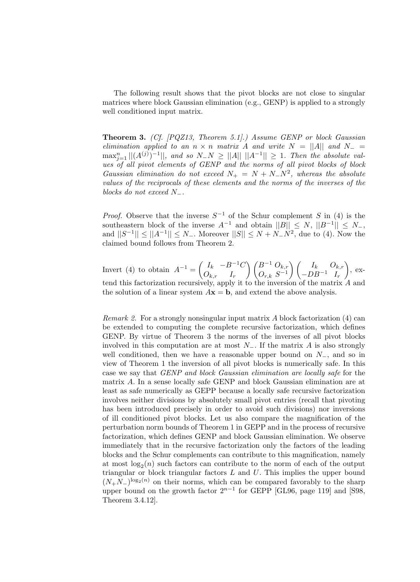The following result shows that the pivot blocks are not close to singular matrices where block Gaussian elimination (e.g., GENP) is applied to a strongly well conditioned input matrix.

Theorem 3. (Cf. [PQZ13, Theorem 5.1].) Assume GENP or block Gaussian elimination applied to an  $n \times n$  matrix A and write  $N = ||A||$  and  $N_- =$  $\max_{j=1}^{n}||(A^{(j)})^{-1}||$ , and so  $N_N \geq ||A|| \, ||A^{-1}|| \geq 1$ . Then the absolute values of all pivot elements of GENP and the norms of all pivot blocks of block Gaussian elimination do not exceed  $N_+ = N + N_-N^2$ , whereas the absolute values of the reciprocals of these elements and the norms of the inverses of the blocks do not exceed  $N_-.$ 

*Proof.* Observe that the inverse  $S^{-1}$  of the Schur complement S in (4) is the southeastern block of the inverse  $A^{-1}$  and obtain  $||B|| \le N$ ,  $||B^{-1}|| \le N$ , and  $||S^{-1}|| \le ||A^{-1}|| \le N_-$ . Moreover  $||S|| \le N + N_-N^2$ , due to (4). Now the claimed bound follows from Theorem 2.

Invert (4) to obtain  $A^{-1} = \begin{pmatrix} I_k & -B^{-1}C \\ 0 & I \end{pmatrix}$  $O_{k,r}$  I<sub>r</sub>  $\bigwedge B^{-1} O_{k,r}$  $\left( \begin{matrix} B^{-1} \ O_{k,r} \ O_{r,k} \ S^{-1} \end{matrix} \right) \left( \begin{matrix} I_k & O_{k,r} \ -DB^{-1} & I_r \end{matrix} \right)$  $-DB^{-1}$   $I_r$  $\Big)$ , extend this factorization recursively, apply it to the inversion of the matrix A and the solution of a linear system  $A\mathbf{x} = \mathbf{b}$ , and extend the above analysis.

Remark 2. For a strongly nonsingular input matrix A block factorization (4) can be extended to computing the complete recursive factorization, which defines GENP. By virtue of Theorem 3 the norms of the inverses of all pivot blocks involved in this computation are at most  $N_$ . If the matrix A is also strongly well conditioned, then we have a reasonable upper bound on  $N_-\,$ , and so in view of Theorem 1 the inversion of all pivot blocks is numerically safe. In this case we say that GENP and block Gaussian elimination are locally safe for the matrix A. In a sense locally safe GENP and block Gaussian elimination are at least as safe numerically as GEPP because a locally safe recursive factorization involves neither divisions by absolutely small pivot entries (recall that pivoting has been introduced precisely in order to avoid such divisions) nor inversions of ill conditioned pivot blocks. Let us also compare the magnification of the perturbation norm bounds of Theorem 1 in GEPP and in the process of recursive factorization, which defines GENP and block Gaussian elimination. We observe immediately that in the recursive factorization only the factors of the leading blocks and the Schur complements can contribute to this magnification, namely at most  $\log_2(n)$  such factors can contribute to the norm of each of the output triangular or block triangular factors  $L$  and  $U$ . This implies the upper bound  $(N_+N_-)^{\log_2(n)}$  on their norms, which can be compared favorably to the sharp upper bound on the growth factor  $2^{n-1}$  for GEPP [GL96, page 119] and [S98, Theorem 3.4.12].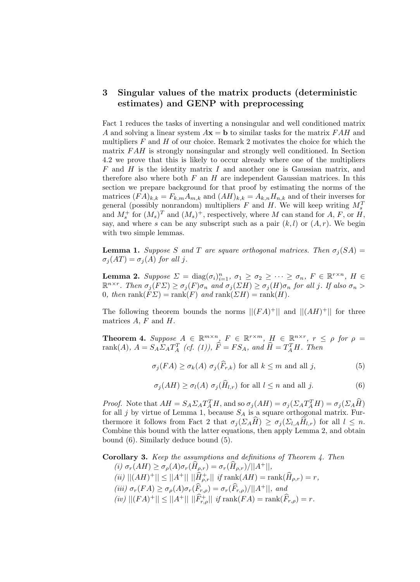## 3 Singular values of the matrix products (deterministic estimates) and GENP with preprocessing

Fact 1 reduces the tasks of inverting a nonsingular and well conditioned matrix A and solving a linear system  $A\mathbf{x} = \mathbf{b}$  to similar tasks for the matrix FAH and multipliers  $F$  and  $H$  of our choice. Remark 2 motivates the choice for which the matrix FAH is strongly nonsingular and strongly well conditioned. In Section 4.2 we prove that this is likely to occur already where one of the multipliers  $F$  and  $H$  is the identity matrix  $I$  and another one is Gaussian matrix, and therefore also where both  $F$  an  $H$  are independent Gaussian matrices. In this section we prepare background for that proof by estimating the norms of the matrices  $(FA)_{k,k} = F_{k,m}A_{m,k}$  and  $(AH)_{k,k} = A_{k,n}H_{n,k}$  and of their inverses for general (possibly nonrandom) multipliers  $F$  and  $H$ . We will keep writing  $M_s^T$ and  $M_s^+$  for  $(M_s)^T$  and  $(M_s)^+$ , respectively, where M can stand for A, F, or H, say, and where s can be any subscript such as a pair  $(k, l)$  or  $(A, r)$ . We begin with two simple lemmas.

**Lemma 1.** Suppose S and T are square orthogonal matrices. Then  $\sigma_i(SA)$  =  $\sigma_j(AT) = \sigma_j(A)$  for all j.

**Lemma 2.** Suppose  $\Sigma = \text{diag}(\sigma_i)_{i=1}^n$ ,  $\sigma_1 \ge \sigma_2 \ge \cdots \ge \sigma_n$ ,  $F \in \mathbb{R}^{r \times n}$ ,  $H \in$  $\mathbb{R}^{n \times r}$ . Then  $\sigma_j(F\varSigma) \geq \sigma_j(F)\sigma_n$  and  $\sigma_j(\varSigma H) \geq \sigma_j(H)\sigma_n$  for all j. If also  $\sigma_n >$ 0, then rank $(F\mathcal{Z}) = \text{rank}(F)$  and  $\text{rank}(\mathcal{Z}H) = \text{rank}(H)$ .

The following theorem bounds the norms  $||(FA)^+||$  and  $||(AH)^+||$  for three matrices  $A, F$  and  $H$ .

**Theorem 4.** Suppose  $A \in \mathbb{R}^{m \times n}$ ,  $F \in \mathbb{R}^{r \times m}$ ,  $H \in \mathbb{R}^{n \times r}$ ,  $r \le \rho$  for  $\rho =$ rank $(A)$ ,  $A = S_A \Sigma_A T_A^T$  (cf. (1)),  $\hat{F} = FS_A$ , and  $\hat{H} = T_A^T H$ . Then

$$
\sigma_j(FA) \ge \sigma_k(A) \sigma_j(F_{r,k}) \text{ for all } k \le m \text{ and all } j,
$$
 (5)

$$
\sigma_j(AH) \ge \sigma_l(A) \ \sigma_j(\hat{H}_{l,r}) \text{ for all } l \le n \text{ and all } j. \tag{6}
$$

*Proof.* Note that  $AH = S_A \Sigma_A T_A^T H$ , and so  $\sigma_j(AH) = \sigma_j(\Sigma_A T_A^T H) = \sigma_j(\Sigma_A H)$ for all j by virtue of Lemma 1, because  $S_A$  is a square orthogonal matrix. Furthermore it follows from Fact 2 that  $\sigma_j(\Sigma_A \hat{H}) \geq \sigma_j(\Sigma_{l,A} \hat{H}_{l,r})$  for all  $l \leq n$ . Combine this bound with the latter equations, then apply Lemma 2, and obtain bound (6). Similarly deduce bound (5).

Corollary 3. Keep the assumptions and definitions of Theorem 4. Then (i)  $\sigma_r(AH) \geq \sigma_\rho(A)\sigma_r(\hat{H}_{\rho,r}) = \sigma_r(\hat{H}_{\rho,r})/||A^+||,$  $\|f(i)\| (AH)^+\| \leq \|A^+\| \, \|\hat{H}_{\rho,r}^+\| \, \text{ if } \text{rank}(AH) = \text{rank}(\hat{H}_{\rho,r}) = r,$ (iii)  $\sigma_r(FA) \geq \sigma_\rho(A)\sigma_r(\widehat{F}_{r,\rho}) = \sigma_r(\widehat{F}_{r,\rho})/||A^+||$ , and  $(iv) ||(FA)^+|| \le ||A^+|| ||\widehat{F}^+_{r,\rho}|| \text{ if } rank(FA) = \text{rank}(\widehat{F}_{r,\rho}) = r.$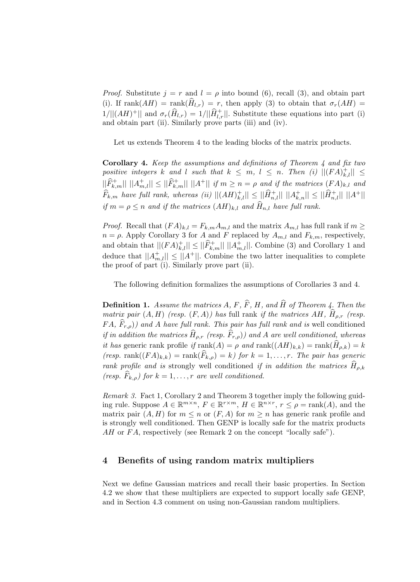*Proof.* Substitute  $j = r$  and  $l = \rho$  into bound (6), recall (3), and obtain part (i). If rank $(AH)$  = rank $(\hat{H}_{l,r}) = r$ , then apply (3) to obtain that  $\sigma_r(AH)$  =  $1/||(AH)^+||$  and  $\sigma_r(\widehat{H}_{l,r}) = 1/||\widehat{H}_{l,r}^+||$ . Substitute these equations into part (i) and obtain part (ii). Similarly prove parts (iii) and (iv).

Let us extends Theorem 4 to the leading blocks of the matrix products.

**Corollary 4.** Keep the assumptions and definitions of Theorem 4 and fix two positive integers k and l such that  $k \leq m, l \leq n$ . Then (i)  $||(FA)_{k,l}^+|| \leq$  $||\widehat{F}_{k,m}^+|| \ ||A_{m,l}^+|| \leq ||\widehat{F}_{k,m}^+|| \ ||A^+|| \ \text{if} \ m \geq n = \rho \ \text{and if the matrices } (FA)_{k,l} \ \text{and}$  $\widehat{F}_{k,m}$  have full rank, whereas (ii)  $||(AH)_{k,l}^+|| \leq ||\widehat{H}_{n,l}^+|| \ ||A_{k,n}^+|| \leq ||\widehat{H}_{n,l}^+|| \ ||A^+||$ if  $m = \rho \leq n$  and if the matrices  $(AH)_{k,l}$  and  $\hat{H}_{n,l}$  have full rank.

*Proof.* Recall that  $(FA)_{k,l} = F_{k,m}A_{m,l}$  and the matrix  $A_{m,l}$  has full rank if  $m \geq$  $n = \rho$ . Apply Corollary 3 for A and F replaced by  $A_{m,l}$  and  $F_{k,m}$ , respectively, and obtain that  $||(FA)_{k,l}^+|| \le ||\widehat{F}_{k,m}^+|| \ ||A_{m,l}^+||$ . Combine (3) and Corollary 1 and deduce that  $||A_{m,l}^+|| \le ||A^+||$ . Combine the two latter inequalities to complete the proof of part (i). Similarly prove part (ii).

The following definition formalizes the assumptions of Corollaries 3 and 4.

**Definition 1.** Assume the matrices A, F,  $\widehat{F}$ , H, and  $\widehat{H}$  of Theorem 4. Then the matrix pair  $(A, H)$  (resp.  $(F, A)$ ) has full rank if the matrices  $AH$ ,  $\widehat{H}_{\rho,r}$  (resp.  $FA, \hat{F}_{r,\rho}$ ) and A have full rank. This pair has full rank and is well conditioned if in addition the matrices  $\widehat{H}_{\rho,r}$  (resp.  $\widehat{F}_{r,\rho}$ )) and A are well conditioned, whereas it has generic rank profile if  $rank(A) = \rho$  and  $rank((AH)_{k,k}) = rank(\widehat{H}_{\rho,k}) = k$ (resp. rank $((FA)_{k,k}) = \text{rank}(\widehat{F}_{k,\rho}) = k$ ) for  $k = 1, \ldots, r$ . The pair has generic rank profile and is strongly well conditioned if in addition the matrices  $H_{\rho,k}$ (resp.  $\widehat{F}_{k,\rho}$ ) for  $k = 1, \ldots, r$  are well conditioned.

Remark 3. Fact 1, Corollary 2 and Theorem 3 together imply the following guiding rule. Suppose  $A \in \mathbb{R}^{m \times n}$ ,  $F \in \mathbb{R}^{r \times m}$ ,  $H \in \mathbb{R}^{n \times r}$ ,  $r \leq \rho = \text{rank}(A)$ , and the matrix pair  $(A, H)$  for  $m \leq n$  or  $(F, A)$  for  $m \geq n$  has generic rank profile and is strongly well conditioned. Then GENP is locally safe for the matrix products AH or  $FA$ , respectively (see Remark 2 on the concept "locally safe").

## 4 Benefits of using random matrix multipliers

Next we define Gaussian matrices and recall their basic properties. In Section 4.2 we show that these multipliers are expected to support locally safe GENP, and in Section 4.3 comment on using non-Gaussian random multipliers.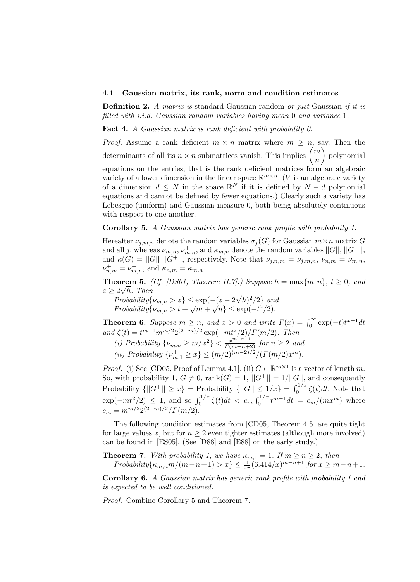#### 4.1 Gaussian matrix, its rank, norm and condition estimates

**Definition 2.** A matrix is standard Gaussian random or just Gaussian if it is filled with i.i.d. Gaussian random variables having mean 0 and variance 1.

Fact 4. A Gaussian matrix is rank deficient with probability 0.

*Proof.* Assume a rank deficient  $m \times n$  matrix where  $m \geq n$ , say. Then the determinants of all its  $n \times n$  submatrices vanish. This implies  $\binom{m}{n}$ n polynomial equations on the entries, that is the rank deficient matrices form an algebraic variety of a lower dimension in the linear space  $\mathbb{R}^{m \times n}$ . (*V* is an algebraic variety of a dimension  $d \leq N$  in the space  $\mathbb{R}^N$  if it is defined by  $N - d$  polynomial equations and cannot be defined by fewer equations.) Clearly such a variety has Lebesgue (uniform) and Gaussian measure 0, both being absolutely continuous with respect to one another.

Corollary 5. A Gaussian matrix has generic rank profile with probability 1.

Hereafter  $\nu_{j,m,n}$  denote the random variables  $\sigma_j(G)$  for Gaussian  $m \times n$  matrix G and all j, whereas  $\nu_{m,n}$ ,  $\nu_{m,n}^+$ , and  $\kappa_{m,n}$  denote the random variables  $||G||$ ,  $||G^+||$ , and  $\kappa(G) = ||G|| ||G^+||$ , respectively. Note that  $\nu_{j,n,m} = \nu_{j,m,n}$ ,  $\nu_{n,m} = \nu_{m,n}$ ,  $\nu_{n,m}^+ = \nu_{m,n}^+,$  and  $\kappa_{n,m} = \kappa_{m,n}$ .

**Theorem 5.** (Cf. [DS01, Theorem II.7].) Suppose  $h = \max\{m, n\}$ ,  $t \ge 0$ , and  $z \geq 2\sqrt{h}$ . Then √

 $Probability\{\nu_{m,n} > z\} \leq \exp(-(z-2))$  $\overline{h})^2/2$  and  $Probability\{\nu_{m,n} > t\} \leq \exp(-(z - 2\sqrt{n})/2)$  and<br>Probability $\{\nu_{m,n} > t + \sqrt{m} + \sqrt{n}\} \leq \exp(-t^2/2)$ .

**Theorem 6.** Suppose  $m \ge n$ , and  $x > 0$  and write  $\Gamma(x) = \int_0^\infty \exp(-t)t^{x-1}dt$ and  $\zeta(t) = t^{m-1} m^{m/2} 2^{(2-m)/2} \exp(-mt^2/2)/\Gamma(m/2)$ . Then

(i) Probability 
$$
\{\nu_{m,n}^+ \ge m/x^2\} < \frac{x^{m-n+1}}{\Gamma(m-n+2)}
$$
 for  $n \ge 2$  and  
(ii) Probability  $\{\nu_{m,1}^+ \ge x\} \le (m/2)^{(m-2)/2}/(\Gamma(m/2)x^m)$ .

*Proof.* (i) See [CD05, Proof of Lemma 4.1]. (ii)  $G \in \mathbb{R}^{m \times 1}$  is a vector of length m. So, with probability 1,  $G \neq 0$ , rank $(G) = 1$ ,  $||G^+|| = 1/||G||$ , and consequently Probability  $\{||G^+|| \ge x\}$  = Probability  $\{||G|| \le 1/x\} = \int_0^{1/x} \zeta(t) dt$ . Note that  $\exp(-mt^2/2) \leq 1$ , and so  $\int_0^{1/x} \zeta(t)dt < c_m \int_0^{1/x} t^{m-1}dt = c_m/(mx^m)$  where

The following condition estimates from [CD05, Theorem 4.5] are quite tight for large values x, but for  $n \geq 2$  even tighter estimates (although more involved) can be found in [ES05]. (See [D88] and [E88] on the early study.)

**Theorem 7.** With probability 1, we have  $\kappa_{m,1} = 1$ . If  $m \ge n \ge 2$ , then  $Probability\{\kappa_{m,n}m/(m-n+1) > x\} \leq \frac{1}{2\pi}(6.414/x)^{m-n+1}$  for  $x \geq m-n+1$ .

Corollary 6. A Gaussian matrix has generic rank profile with probability 1 and is expected to be well conditioned.

Proof. Combine Corollary 5 and Theorem 7.

 $c_m = m^{m/2} 2^{(2-m)/2} / \Gamma(m/2).$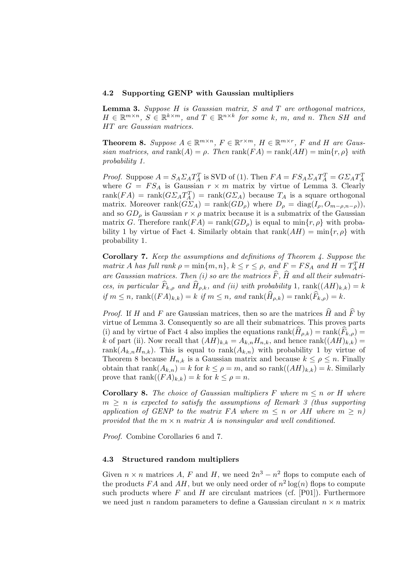#### 4.2 Supporting GENP with Gaussian multipliers

Lemma 3. Suppose H is Gaussian matrix, S and T are orthogonal matrices,  $H \in \mathbb{R}^{m \times n}$ ,  $S \in \mathbb{R}^{k \times m}$ , and  $T \in \mathbb{R}^{n \times k}$  for some k, m, and n. Then SH and HT are Gaussian matrices.

**Theorem 8.** Suppose  $A \in \mathbb{R}^{m \times n}$ ,  $F \in \mathbb{R}^{r \times m}$ ,  $H \in \mathbb{R}^{m \times r}$ ,  $F$  and  $H$  are Gaussian matrices, and rank(A) =  $\rho$ . Then rank(FA) = rank(AH) = min{r,  $\rho$ } with probability 1.

*Proof.* Suppose  $A = S_A \Sigma_A T_A^T$  is SVD of (1). Then  $FA = FS_A \Sigma_A T_A^T = G \Sigma_A T_A^T$ where  $G = FS<sub>A</sub>$  is Gaussian  $r \times m$  matrix by virtue of Lemma 3. Clearly rank $(FA)$  = rank $(G\mathcal{Z}_A T_A^T)$  = rank $(G\mathcal{Z}_A)$  because  $T_A$  is a square orthogonal matrix. Moreover rank $(G \Sigma_A)$  = rank $(GD_\rho)$  where  $D_\rho = \text{diag}(I_\rho, O_{m-\rho,n-\rho})$ , and so  $GD_\rho$  is Gaussian  $r \times \rho$  matrix because it is a submatrix of the Gaussian matrix G. Therefore rank( $FA$ ) = rank( $GD<sub>o</sub>$ ) is equal to min $\{r, \rho\}$  with probability 1 by virtue of Fact 4. Similarly obtain that  $rank(AH) = min\{r, \rho\}$  with probability 1.

Corollary 7. Keep the assumptions and definitions of Theorem 4. Suppose the matrix A has full rank  $\rho = \min\{m, n\}$ ,  $k \le r \le \rho$ , and  $F = FS_A$  and  $H = T_A^T H$ are Gaussian matrices. Then (i) so are the matrices  $\widehat{F}$ ,  $\widehat{H}$  and all their submatrices, in particular  $\widehat{F}_{k,\rho}$  and  $\widehat{H}_{\rho,k}$ , and (ii) with probability 1, rank $((AH)_{k,k}) = k$ if  $m \leq n$ ,  $\text{rank}((FA)_{k,k}) = k$  if  $m \leq n$ , and  $\text{rank}(\widehat{H}_{\rho,k}) = \text{rank}(\widehat{F}_{k,\rho}) = k$ .

*Proof.* If H and F are Gaussian matrices, then so are the matrices  $\hat{H}$  and  $\hat{F}$  by virtue of Lemma 3. Consequently so are all their submatrices. This proves parts (i) and by virtue of Fact 4 also implies the equations  $\text{rank}(H_{\rho,k}) = \text{rank}(F_{k,\rho}) =$ k of part (ii). Now recall that  $(AH)_{k,k} = A_{k,n}H_{n,k}$ , and hence rank $((AH)_{k,k}) =$ rank $(A_{k,n}H_{n,k})$ . This is equal to rank $(A_{k,n})$  with probability 1 by virtue of Theorem 8 because  $H_{n,k}$  is a Gaussian matrix and because  $k \leq \rho \leq n$ . Finally obtain that rank $(A_{k,n}) = k$  for  $k \leq \rho = m$ , and so rank $((AH)_{k,k}) = k$ . Similarly prove that  $\operatorname{rank}((FA)_{k,k}) = k$  for  $k \leq \rho = n$ .

**Corollary 8.** The choice of Gaussian multipliers F where  $m \leq n$  or H where  $m \geq n$  is expected to satisfy the assumptions of Remark 3 (thus supporting application of GENP to the matrix FA where  $m \leq n$  or AH where  $m \geq n$ ) provided that the  $m \times n$  matrix A is nonsingular and well conditioned.

Proof. Combine Corollaries 6 and 7.

#### 4.3 Structured random multipliers

Given  $n \times n$  matrices A, F and H, we need  $2n^3 - n^2$  flops to compute each of the products FA and AH, but we only need order of  $n^2 \log(n)$  flops to compute such products where  $F$  and  $H$  are circulant matrices (cf. [P01]). Furthermore we need just n random parameters to define a Gaussian circulant  $n \times n$  matrix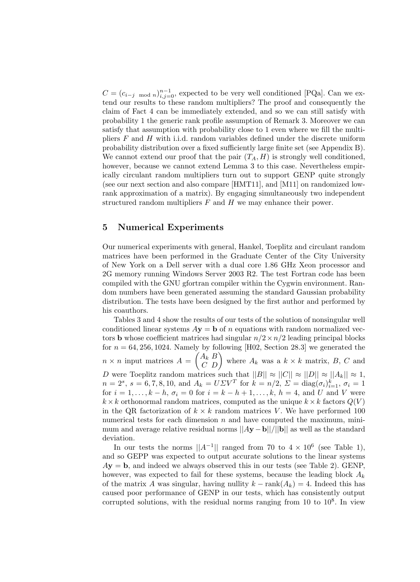$C = (c_{i-j \mod n})_{i,j=0}^{n-1}$ , expected to be very well conditioned [PQa]. Can we extend our results to these random multipliers? The proof and consequently the claim of Fact 4 can be immediately extended, and so we can still satisfy with probability 1 the generic rank profile assumption of Remark 3. Moreover we can satisfy that assumption with probability close to 1 even where we fill the multipliers  $F$  and  $H$  with i.i.d. random variables defined under the discrete uniform probability distribution over a fixed sufficiently large finite set (see Appendix B). We cannot extend our proof that the pair  $(T_A, H)$  is strongly well conditioned, however, because we cannot extend Lemma 3 to this case. Nevertheless empirically circulant random multipliers turn out to support GENP quite strongly (see our next section and also compare [HMT11], and [M11] on randomized lowrank approximation of a matrix). By engaging simultaneously two independent structured random multipliers  $F$  and  $H$  we may enhance their power.

#### 5 Numerical Experiments

Our numerical experiments with general, Hankel, Toeplitz and circulant random matrices have been performed in the Graduate Center of the City University of New York on a Dell server with a dual core 1.86 GHz Xeon processor and 2G memory running Windows Server 2003 R2. The test Fortran code has been compiled with the GNU gfortran compiler within the Cygwin environment. Random numbers have been generated assuming the standard Gaussian probability distribution. The tests have been designed by the first author and performed by his coauthors.

Tables 3 and 4 show the results of our tests of the solution of nonsingular well conditioned linear systems  $A**y** = **b**$  of n equations with random normalized vectors **b** whose coefficient matrices had singular  $n/2 \times n/2$  leading principal blocks for  $n = 64, 256, 1024$ . Namely by following [H02, Section 28.3] we generated the  $n \times n$  input matrices  $A = \begin{pmatrix} A_k & B \\ C & D \end{pmatrix}$  where  $A_k$  was a  $k \times k$  matrix, B, C and D were Toeplitz random matrices such that  $||B|| \approx ||C|| \approx ||D|| \approx ||A_k|| \approx 1$ ,  $n = 2^s$ ,  $s = 6, 7, 8, 10$ , and  $A_k = U \Sigma V^T$  for  $k = n/2$ ,  $\Sigma = \text{diag}(\sigma_i)_{i=1}^k$ ,  $\sigma_i = 1$ for  $i = 1, ..., k - h$ ,  $\sigma_i = 0$  for  $i = k - h + 1, ..., k$ ,  $h = 4$ , and U and V were  $k \times k$  orthonormal random matrices, computed as the unique  $k \times k$  factors  $Q(V)$ in the QR factorization of  $k \times k$  random matrices V. We have performed 100 numerical tests for each dimension  $n$  and have computed the maximum, minimum and average relative residual norms  $||Ay - b||/||b||$  as well as the standard deviation.

In our tests the norms  $||A^{-1}||$  ranged from 70 to  $4 \times 10^6$  (see Table 1), and so GEPP was expected to output accurate solutions to the linear systems  $A$ **y** = **b**, and indeed we always observed this in our tests (see Table 2). GENP, however, was expected to fail for these systems, because the leading block  $A_k$ of the matrix A was singular, having nullity  $k - \text{rank}(A_k) = 4$ . Indeed this has caused poor performance of GENP in our tests, which has consistently output corrupted solutions, with the residual norms ranging from  $10$  to  $10<sup>8</sup>$ . In view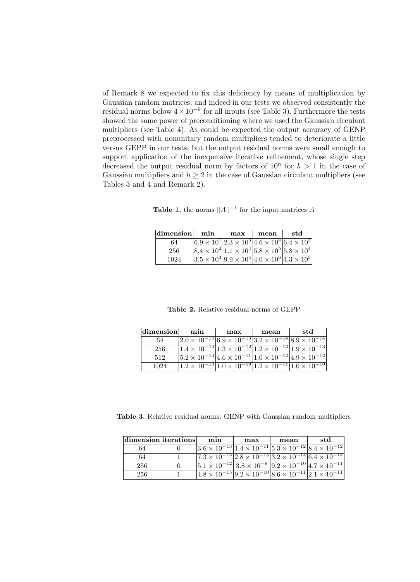of Remark 8 we expected to fix this deficiency by means of multiplication by Gaussian random matrices, and indeed in our tests we observed consistently the residual norms below  $4 \times 10^{-9}$  for all inputs (see Table 3). Furthermore the tests showed the same power of preconditioning where we used the Gaussian circulant multipliers (see Table 4). As could be expected the output accuracy of GENP preprocessed with nonunitary random multipliers tended to deteriorate a little versus GEPP in our tests, but the output residual norms were small enough to support application of the inexpensive iterative refinement, whose single step decreased the output residual norm by factors of  $10^h$  for  $h > 1$  in the case of Gaussian multipliers and  $h > 2$  in the case of Gaussian circulant multipliers (see Tables 3 and 4 and Remark 2).

| <b>Table 1.</b> the norms $  A  ^{-1}$ for the input matrices A |  |
|-----------------------------------------------------------------|--|
|-----------------------------------------------------------------|--|

| dimension | min                                                                                                         | max | mean | std |
|-----------|-------------------------------------------------------------------------------------------------------------|-----|------|-----|
| 64        | $6.9 \times 10^{1}$ $\left[2.3 \times 10^{3} \right]$ $4.6 \times 10^{4}$ $\left[6.4 \times 10^{3} \right]$ |     |      |     |
| 256       | $ 8.4 \times 10^2 1.1 \times 10^4 5.8 \times 10^5 5.8 \times 10^4 $                                         |     |      |     |
| 1024      | $ 3.5 \times 10^3 9.9 \times 10^4 4.0 \times 10^6 4.3 \times 10^5 $                                         |     |      |     |

Table 2. Relative residual norms of GEPP

| dimension | min | max | mean                                                                                    | std |  |
|-----------|-----|-----|-----------------------------------------------------------------------------------------|-----|--|
| 64        |     |     | $ 2.0 \times 10^{-15}  6.9 \times 10^{-13}  3.2 \times 10^{-14}  8.9 \times 10^{-14} $  |     |  |
| 256       |     |     | $1.4 \times 10^{-14}$ $1.3 \times 10^{-12}$ $1.2 \times 10^{-13}$ $1.9 \times 10^{-13}$ |     |  |
| 512       |     |     | $ 5.2 \times 10^{-14}  4.6 \times 10^{-11}  1.0 \times 10^{-12}  4.9 \times 10^{-12} $  |     |  |
| 1024      |     |     | $1.2 \times 10^{-13}$ $1.0 \times 10^{-09}$ $1.2 \times 10^{-11}$ $1.0 \times 10^{-10}$ |     |  |

Table 3. Relative residual norms: GENP with Gaussian random multipliers

| $ dimension $ iterations | min | max | mean | std                                                                                              |
|--------------------------|-----|-----|------|--------------------------------------------------------------------------------------------------|
| 64                       |     |     |      | $ 3.6 \times 10^{-13} 1.4 \times 10^{-11} 5.3 \times 10^{-12} 8.4 \times 10^{-12} $              |
| 64                       |     |     |      | $\sqrt{7.3 \times 10^{-15} 2.8 \times 10^{-13} 3.2 \times 10^{-14} 6.4 \times 10^{-14}}$         |
| 256                      |     |     |      | $ 5.1 \times 10^{-12}  3.8 \times 10^{-9}$ $ 9.2 \times 10^{-10}  4.7 \times 10^{-11} $          |
| 256                      |     |     |      | $\left[4.8\times10^{-15}\right]9.2\times10^{-10}\left[8.6\times10^{-11}\right]2.1\times10^{-11}$ |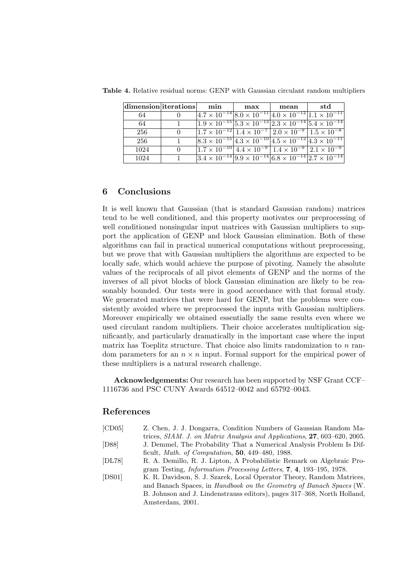| $ {\rm dimension} $ iterations |          | $\min$                                                                                                      | max | mean | std                                                                                                                         |
|--------------------------------|----------|-------------------------------------------------------------------------------------------------------------|-----|------|-----------------------------------------------------------------------------------------------------------------------------|
| 64                             |          |                                                                                                             |     |      | $\left[4.7\times10^{-14}\right]8.0\times10^{-11}\left[4.0\times10^{-12}\right]1.1\times10^{-11}$                            |
| 64                             |          | $1.9 \times 10^{-15}$ $5.3 \times 10^{-13}$ $2.3 \times 10^{-14}$ $5.4 \times 10^{-14}$                     |     |      |                                                                                                                             |
| 256                            | $\Omega$ |                                                                                                             |     |      | $\frac{1.7 \times 10^{-12} \cdot 1.4 \times 10^{-7} \cdot 2.0 \times 10^{-9} \cdot 1.5 \times 10^{-8}}{1.5 \times 10^{-8}}$ |
| 256                            |          | $\sqrt{8.3 \times 10^{-15} \cdot 4.3 \times 10^{-10} \cdot 4.5 \times 10^{-12} \cdot 4.3 \times 10^{-11}}}$ |     |      |                                                                                                                             |
| 1024                           | $\Omega$ | $(1.7 \times 10^{-10})$ $(4.4 \times 10^{-9})$ $(1.4 \times 10^{-9})$ $(2.1 \times 10^{-9})$                |     |      |                                                                                                                             |
| 1024                           |          | $\sqrt{3.4 \times 10^{-14} \cdot 9.9 \times 10^{-14} \cdot 6.8 \times 10^{-14} \cdot 2.7 \times 10^{-14}}$  |     |      |                                                                                                                             |

Table 4. Relative residual norms: GENP with Gaussian circulant random multipliers

### 6 Conclusions

It is well known that Gaussian (that is standard Gaussian random) matrices tend to be well conditioned, and this property motivates our preprocessing of well conditioned nonsingular input matrices with Gaussian multipliers to support the application of GENP and block Gaussian elimination. Both of these algorithms can fail in practical numerical computations without preprocessing, but we prove that with Gaussian multipliers the algorithms are expected to be locally safe, which would achieve the purpose of pivoting. Namely the absolute values of the reciprocals of all pivot elements of GENP and the norms of the inverses of all pivot blocks of block Gaussian elimination are likely to be reasonably bounded. Our tests were in good accordance with that formal study. We generated matrices that were hard for GENP, but the problems were consistently avoided where we preprocessed the inputs with Gaussian multipliers. Moreover empirically we obtained essentially the same results even where we used circulant random multipliers. Their choice accelerates multiplication significantly, and particularly dramatically in the important case where the input matrix has Toeplitz structure. That choice also limits randomization to  $n$  random parameters for an  $n \times n$  input. Formal support for the empirical power of these multipliers is a natural research challenge.

Acknowledgements: Our research has been supported by NSF Grant CCF– 1116736 and PSC CUNY Awards 64512–0042 and 65792–0043.

### References

| [CD05] | Z. Chen, J. J. Dongarra, Condition Numbers of Gaussian Random Ma-                          |
|--------|--------------------------------------------------------------------------------------------|
|        | trices, SIAM. J. on Matrix Analysis and Applications, 27, 603–620, 2005.                   |
| [D88]  | J. Demmel, The Probability That a Numerical Analysis Problem Is Dif-                       |
|        | ficult, <i>Math. of Computation</i> , <b>50</b> , 449–480, 1988.                           |
| [DL78] | R. A. Demillo, R. J. Lipton, A Probabilistic Remark on Algebraic Pro-                      |
|        | gram Testing, <i>Information Processing Letters</i> , <b>7</b> , <b>4</b> , 193–195, 1978. |
| [DS01] | K. R. Davidson, S. J. Szarek, Local Operator Theory, Random Matrices,                      |
|        | and Banach Spaces, in <i>Handbook on the Geometry of Banach Spaces</i> (W.                 |
|        | B. Johnson and J. Lindenstrauss editors), pages 317–368, North Holland,                    |
|        | Amsterdam, 2001.                                                                           |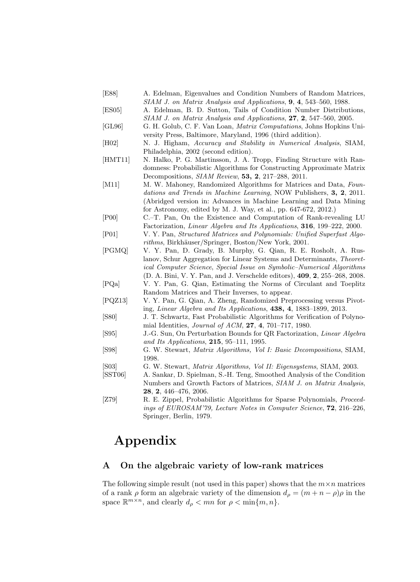- [E88] A. Edelman, Eigenvalues and Condition Numbers of Random Matrices, SIAM J. on Matrix Analysis and Applications, 9, 4, 543–560, 1988.
- [ES05] A. Edelman, B. D. Sutton, Tails of Condition Number Distributions, SIAM J. on Matrix Analysis and Applications, 27, 2, 547–560, 2005.
- [GL96] G. H. Golub, C. F. Van Loan, Matrix Computations, Johns Hopkins University Press, Baltimore, Maryland, 1996 (third addition).
- [H02] N. J. Higham, Accuracy and Stability in Numerical Analysis, SIAM, Philadelphia, 2002 (second edition).
- [HMT11] N. Halko, P. G. Martinsson, J. A. Tropp, Finding Structure with Randomness: Probabilistic Algorithms for Constructing Approximate Matrix Decompositions, SIAM Review, 53, 2, 217–288, 2011.
- [M11] M. W. Mahoney, Randomized Algorithms for Matrices and Data, Foundations and Trends in Machine Learning, NOW Publishers, 3, 2, 2011. (Abridged version in: Advances in Machine Learning and Data Mining for Astronomy, edited by M. J. Way, et al., pp. 647-672, 2012.)
- [P00] C.–T. Pan, On the Existence and Computation of Rank-revealing LU Factorization, Linear Algebra and Its Applications, 316, 199–222, 2000.
- [P01] V. Y. Pan, Structured Matrices and Polynomials: Unified Superfast Algorithms, Birkhäuser/Springer, Boston/New York, 2001.
- [PGMQ] V. Y. Pan, D. Grady, B. Murphy, G. Qian, R. E. Rosholt, A. Ruslanov, Schur Aggregation for Linear Systems and Determinants, Theoretical Computer Science, Special Issue on Symbolic–Numerical Algorithms (D. A. Bini, V. Y. Pan, and J. Verschelde editors), 409, 2, 255–268, 2008.
- [PQa] V. Y. Pan, G. Qian, Estimating the Norms of Circulant and Toeplitz Random Matrices and Their Inverses, to appear.
- [PQZ13] V. Y. Pan, G. Qian, A. Zheng, Randomized Preprocessing versus Pivoting, Linear Algebra and Its Applications, 438, 4, 1883–1899, 2013.
- [S80] J. T. Schwartz, Fast Probabilistic Algorithms for Verification of Polynomial Identities, Journal of ACM, 27, 4, 701–717, 1980.
- [S95] J.-G. Sun, On Perturbation Bounds for QR Factorization, Linear Algebra and Its Applications, 215, 95–111, 1995.
- [S98] G. W. Stewart, Matrix Algorithms, Vol I: Basic Decompositions, SIAM, 1998.
- [S03] G. W. Stewart, Matrix Algorithms, Vol II: Eigensystems, SIAM, 2003.
- [SST06] A. Sankar, D. Spielman, S.-H. Teng, Smoothed Analysis of the Condition Numbers and Growth Factors of Matrices, SIAM J. on Matrix Analysis, 28, 2, 446–476, 2006.
- [Z79] R. E. Zippel, Probabilistic Algorithms for Sparse Polynomials, Proceedings of EUROSAM'79, Lecture Notes in Computer Science, 72, 216–226, Springer, Berlin, 1979.

## Appendix

## A On the algebraic variety of low-rank matrices

The following simple result (not used in this paper) shows that the  $m \times n$  matrices of a rank  $\rho$  form an algebraic variety of the dimension  $d_{\rho} = (m + n - \rho)\rho$  in the space  $\mathbb{R}^{m \times n}$ , and clearly  $d_{\rho} < mn$  for  $\rho < \min\{m, n\}$ .